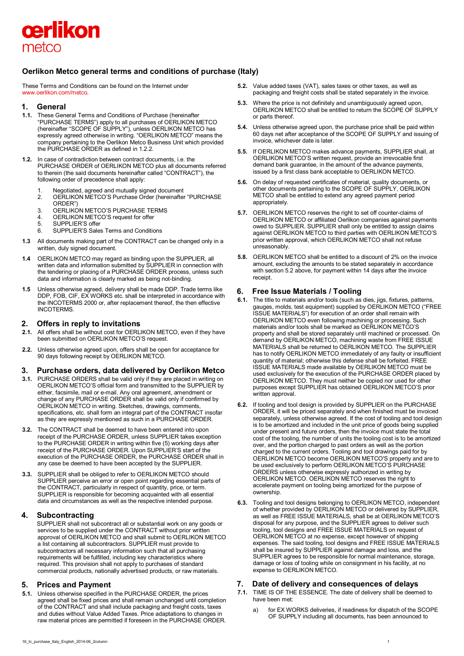

# **Oerlikon Metco general terms and conditions of purchase (Italy)**

These Terms and Conditions can be found on the Internet under [www.oerlikon.com/metco.](http://www.oerlikon.com/metco)

### **1. General**

- **1.1.** These General Terms and Conditions of Purchase (hereinafter "PURCHASE TERMS") apply to all purchases of OERLIKON METCO (hereinafter "SCOPE OF SUPPLY"), unless OERLIKON METCO has expressly agreed otherwise in writing. "OERLIKON METCO" means the company pertaining to the Oerlikon Metco Business Unit which provided the PURCHASE ORDER as defined in 1.2.2.
- **1.2.** In case of contradiction between contract documents, i.e. the PURCHASE ORDER of OERLIKON METCO plus all documents referred to therein (the said documents hereinafter called "CONTRACT"), the following order of precedence shall apply:
	- 1. Negotiated, agreed and mutually signed document
	- 2. OERLIKON METCO'S Purchase Order (hereinafter "PURCHASE ORDER")
	- 3. OERLIKON METCO'S PURCHASE TERMS<br>4. OFRI IKON METCO'S request for offer
	- 4. OERLIKON METCO'S request for offer<br>5. SUPPLIER'S offer
	- SUPPLIER'S offer
	- 6. SUPPLIER'S Sales Terms and Conditions
- **1.3** All documents making part of the CONTRACT can be changed only in a written, duly signed document.
- **1.4** OERLIKON METCO may regard as binding upon the SUPPLIER, all written data and information submitted by SUPPLIER in connection with the tendering or placing of a PURCHASE ORDER process, unless such data and information is clearly marked as being not-binding.
- **1.5** Unless otherwise agreed, delivery shall be made DDP. Trade terms like DDP, FOB, CIF, EX WORKS etc. shall be interpreted in accordance with the INCOTERMS 2000 or, after replacement thereof, the then effective INCOTERMS.

# **2. Offers in reply to invitations**

- **2.1.** All offers shall be without cost for OERLIKON METCO, even if they have been submitted on OERLIKON METCO'S request.
- **2.2.** Unless otherwise agreed upon, offers shall be open for acceptance for 90 days following receipt by OERLIKON METCO.

### **3. Purchase orders, data delivered by Oerlikon Metco**

- **3.1.** PURCHASE ORDERS shall be valid only if they are placed in writing on OERLIKON METCO'S official form and transmitted to the SUPPLIER by either, facsimile, mail or e-mail. Any oral agreement, amendment or change of any PURCHASE ORDER shall be valid only if confirmed by OERLIKON METCO in writing. Sketches, drawings, comments, specifications, etc. shall form an integral part of the CONTRACT insofar as they are expressly mentioned as such in a PURCHASE ORDER.
- **3.2.** The CONTRACT shall be deemed to have been entered into upon receipt of the PURCHASE ORDER, unless SUPPLIER takes exception to the PURCHASE ORDER in writing within five (5) working days after receipt of the PURCHASE ORDER. Upon SUPPLIER'S start of the execution of the PURCHASE ORDER, the PURCHASE ORDER shall in any case be deemed to have been accepted by the SUPPLIER.
- **3.3.** SUPPLIER shall be obliged to refer to OERLIKON METCO should SUPPLIER perceive an error or open point regarding essential parts of the CONTRACT, particularly in respect of quantity, price, or term. SUPPLIER is responsible for becoming acquainted with all essential data and circumstances as well as the respective intended purpose.

## **4. Subcontracting**

SUPPLIER shall not subcontract all or substantial work on any goods or services to be supplied under the CONTRACT without prior written approval of OERLIKON METCO and shall submit to OERLIKON METCO a list containing all subcontractors. SUPPLIER must provide to subcontractors all necessary information such that all purchasing requirements will be fulfilled, including key characteristics where required. This provision shall not apply to purchases of standard commercial products, nationally advertised products, or raw materials.

## **5. Prices and Payment**

**5.1.** Unless otherwise specified in the PURCHASE ORDER, the prices agreed shall be fixed prices and shall remain unchanged until completion of the CONTRACT and shall include packaging and freight costs, taxes and duties without Value Added Taxes. Price adaptations to changes in raw material prices are permitted if foreseen in the PURCHASE ORDER.

- **5.2.** Value added taxes (VAT), sales taxes or other taxes, as well as packaging and freight costs shall be stated separately in the invoice.
- **5.3.** Where the price is not definitely and unambiguously agreed upon, OERLIKON METCO shall be entitled to return the SCOPE OF SUPPLY or parts thereof.
- **5.4.** Unless otherwise agreed upon, the purchase price shall be paid within 60 days net after acceptance of the SCOPE OF SUPPLY and issuing of invoice, whichever date is later.
- **5.5.** If OERLIKON METCO makes advance payments, SUPPLIER shall, at OERLIKON METCO'S written request, provide an irrevocable first demand bank guarantee, in the amount of the advance payments, issued by a first class bank acceptable to OERLIKON METCO.
- **5.6.** On delay of requested certificates of material, quality documents, or other documents pertaining to the SCOPE OF SUPPLY, OERLIKON METCO shall be entitled to extend any agreed payment period appropriately.
- **5.7.** OERLIKON METCO reserves the right to set off counter-claims of OERLIKON METCO or affiliated Oerlikon companies against payments owed to SUPPLIER. SUPPLIER shall only be entitled to assign claims against OERLIKON METCO to third parties with OERLIKON METCO'S prior written approval, which OERLIKON METCO shall not refuse unreasonably.
- **5.8.** OERLIKON METCO shall be entitled to a discount of 2% on the invoice amount, excluding the amounts to be stated separately in accordance with section 5.2 above, for payment within 14 days after the invoice receipt.

## **6. Free Issue Materials / Tooling**

- **6.1.** The title to materials and/or tools (such as dies, jigs, fixtures, patterns, gauges, molds, test equipment) supplied by OERLIKON METCO ("FREE ISSUE MATERIALS") for execution of an order shall remain with OERLIKON METCO even following machining or processing. Such materials and/or tools shall be marked as OERLIKON METCO'S property and shall be stored separately until machined or processed. On demand by OERLIKON METCO, machining waste from FREE ISSUE MATERIALS shall be returned to OERLIKON METCO. The SUPPLIER has to notify OERLIKON METCO immediately of any faulty or insufficient quantity of material; otherwise this defense shall be forfeited. FREE ISSUE MATERIALS made available by OERLIKON METCO must be used exclusively for the execution of the PURCHASE ORDER placed by OERLIKON METCO. They must neither be copied nor used for other purposes except SUPPLIER has obtained OERLIKON METCO'S prior written approval.
- **6.2.** If tooling and tool design is provided by SUPPLIER on the PURCHASE ORDER, it will be priced separately and when finished must be invoiced separately, unless otherwise agreed. If the cost of tooling and tool design is to be amortized and included in the unit price of goods being supplied under present and future orders, then the invoice must state the total cost of the tooling, the number of units the tooling cost is to be amortized over, and the portion charged to past orders as well as the portion charged to the current orders. Tooling and tool drawings paid for by OERLIKON METCO become OERLIKON METCO'S property and are to be used exclusively to perform OERLIKON METCO'S PURCHASE ORDERS unless otherwise expressly authorized in writing by OERLIKON METCO. OERLIKON METCO reserves the right to accelerate payment on tooling being amortized for the purpose of ownership.
- **6.3.** Tooling and tool designs belonging to OERLIKON METCO, independent of whether provided by OERLIKON METCO or delivered by SUPPLIER, as well as FREE ISSUE MATERIALS, shall be at OERLIKON METCO'S disposal for any purpose, and the SUPPLIER agrees to deliver such tooling, tool designs and FREE ISSUE MATERIALS on request of OERLIKON METCO at no expense, except however of shipping expenses. The said tooling, tool designs and FREE ISSUE MATERIALS shall be insured by SUPPLIER against damage and loss, and the SUPPLIER agrees to be responsible for normal maintenance, storage, damage or loss of tooling while on consignment in his facility, at no expense to OERLIKON METCO.

## **7. Date of delivery and consequences of delays**

- **7.1.** TIME IS OF THE ESSENCE. The date of delivery shall be deemed to have been met:
	- a) for EX WORKS deliveries, if readiness for dispatch of the SCOPE OF SUPPLY including all documents, has been announced to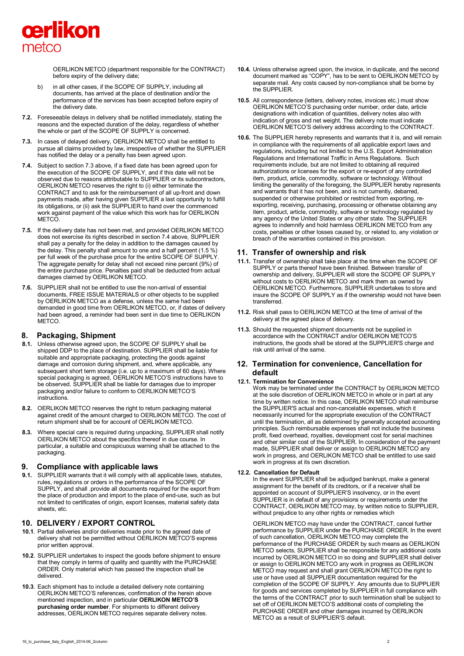

OERLIKON METCO (department responsible for the CONTRACT) before expiry of the delivery date;

- b) in all other cases, if the SCOPE OF SUPPLY, including all documents, has arrived at the place of destination and/or the performance of the services has been accepted before expiry of the delivery date.
- **7.2.** Foreseeable delays in delivery shall be notified immediately, stating the reasons and the expected duration of the delay, regardless of whether the whole or part of the SCOPE OF SUPPLY is concerned.
- **7.3.** In cases of delayed delivery, OERLIKON METCO shall be entitled to pursue all claims provided by law, irrespective of whether the SUPPLIER has notified the delay or a penalty has been agreed upon.
- **7.4.** Subject to section 7.3 above, if a fixed date has been agreed upon for the execution of the SCOPE OF SUPPLY, and if this date will not be observed due to reasons attributable to SUPPLIER or its subcontractors, OERLIKON METCO reserves the right to (i) either terminate the CONTRACT and to ask for the reimbursement of all up-front and down payments made, after having given SUPPLIER a last opportunity to fulfill its obligations, or (ii) ask the SUPPLIER to hand over the commenced work against payment of the value which this work has for OERLIKON **METCO**
- **7.5.** If the delivery date has not been met, and provided OERLIKON METCO does not exercise its rights described in section 7.4 above, SUPPLIER shall pay a penalty for the delay in addition to the damages caused by the delay. This penalty shall amount to one and a half percent (1.5 %) per full week of the purchase price for the entire SCOPE OF SUPPLY. The aggregate penalty for delay shall not exceed nine percent (9%) of the entire purchase price. Penalties paid shall be deducted from actual damages claimed by OERLIKON METCO.
- **7.6.** SUPPLIER shall not be entitled to use the non-arrival of essential documents, FREE ISSUE MATERIALS or other objects to be supplied by OERLIKON METCO as a defense, unless the same had been demanded in good time from OERLIKON METCO, or, if dates of delivery had been agreed, a reminder had been sent in due time to OERLIKON METCO.

### **8. Packaging, Shipment**

- **8.1.** Unless otherwise agreed upon, the SCOPE OF SUPPLY shall be shipped DDP to the place of destination. SUPPLIER shall be liable for suitable and appropriate packaging, protecting the goods against damage and corrosion during shipment, and, where applicable, any subsequent short term storage (i.e. up to a maximum of 60 days). Where special packaging is agreed, OERLIKON METCO'S instructions have to be observed. SUPPLIER shall be liable for damages due to improper packaging and/or failure to conform to OERLIKON METCO'S instructions.
- **8.2.** OERLIKON METCO reserves the right to return packaging material against credit of the amount charged to OERLIKON METCO. The cost of return shipment shall be for account of OERLIKON METCO.
- **8.3.** Where special care is required during unpacking, SUPPLIER shall notify OERLIKON METCO about the specifics thereof in due course. In particular, a suitable and conspicuous warning shall be attached to the packaging.

### **9. Compliance with applicable laws**

**9.1.** SUPPLIER warrants that it will comply with all applicable laws, statutes, rules, regulations or orders in the performance of the SCOPE OF SUPPLY, and shall .provide all documents required for the export from the place of production and import to the place of end-use, such as but not limited to certificates of origin, export licenses, material safety data sheets, etc.

### **10. DELIVERY / EXPORT CONTROL**

- **10.1**. Partial deliveries and/or deliveries made prior to the agreed date of delivery shall not be permitted without OERLIKON METCO'S express prior written approval.
- **10.2**. SUPPLIER undertakes to inspect the goods before shipment to ensure that they comply in terms of quality and quantity with the PURCHASE ORDER. Only material which has passed the inspection shall be delivered.
- **10.3**. Each shipment has to include a detailed delivery note containing OERLIKON METCO'S references, confirmation of the herein above mentioned inspection, and in particular **OERLIKON METCO'S purchasing order number**. For shipments to different delivery addresses, OERLIKON METCO requires separate delivery notes.
- **10.4.** Unless otherwise agreed upon, the invoice, in duplicate, and the second document marked as "COPY", has to be sent to OERLIKON METCO by separate mail. Any costs caused by non-compliance shall be borne by the SUPPLIER.
- **10.5**. All correspondence (letters, delivery notes, invoices etc.) must show OERLIKON METCO'S purchasing order number, order date, article designations with indication of quantities, delivery notes also with indication of gross and net weight. The delivery note must indicate OERLIKON METCO'S delivery address according to the CONTRACT.
- **10.6.** The SUPPLIER hereby represents and warrants that it is, and will remain in compliance with the requirements of all applicable export laws and regulations, including but not limited to the U.S. Export Administration Regulations and International Traffic in Arms Regulations. Such requirements include, but are not limited to obtaining all required authorizations or licenses for the export or re-export of any controlled item, product, article, commodity, software or technology. Without limiting the generality of the foregoing, the SUPPLIER hereby represents and warrants that it has not been, and is not currently, debarred, suspended or otherwise prohibited or restricted from exporting, reexporting, receiving, purchasing, processing or otherwise obtaining any item, product, article, commodity, software or technology regulated by any agency of the United States or any other state. The SUPPLIER agrees to indemnify and hold harmless OERLIKON METCO from any costs, penalties or other losses caused by, or related to, any violation or breach of the warranties contained in this provision.

## **11. Transfer of ownership and risk**

- **11.1.** Transfer of ownership shall take place at the time when the SCOPE OF SUPPLY or parts thereof have been finished. Between transfer of ownership and delivery, SUPPLIER will store the SCOPE OF SUPPLY without costs to OERLIKON METCO and mark them as owned by OERLIKON METCO. Furthermore, SUPPLIER undertakes to store and insure the SCOPE OF SUPPLY as if the ownership would not have been transferred.
- **11.2.** Risk shall pass to OERLIKON METCO at the time of arrival of the delivery at the agreed place of delivery.
- **11.3.** Should the requested shipment documents not be supplied in accordance with the CONTRACT and/or OERLIKON METCO'S instructions, the goods shall be stored at the SUPPLIER'S charge and risk until arrival of the same.

## **12. Termination for convenience, Cancellation for default**

## **12.1. Termination for Convenience**

Work may be terminated under the CONTRACT by OERLIKON METCO at the sole discretion of OERLIKON METCO in whole or in part at any time by written notice. In this case, OERLIKON METCO shall reimburse the SUPPLIER'S actual and non-cancelable expenses, which it necessarily incurred for the appropriate execution of the CONTRACT until the termination, all as determined by generally accepted accounting principles. Such reimbursable expenses shall not include the business profit, fixed overhead, royalties, development cost for serial machines and other similar cost of the SUPPLIER. In consideration of the payment made, SUPPLIER shall deliver or assign to OERLIKON METCO any work in progress, and OERLIKON METCO shall be entitled to use said work in progress at its own discretion.

#### **12.2. Cancellation for Default**

In the event SUPPLIER shall be adjudged bankrupt, make a general assignment for the benefit of its creditors, or if a receiver shall be appointed on account of SUPPLIER'S insolvency, or in the event SUPPLIER is in default of any provisions or requirements under the CONTRACT, OERLIKON METCO may, by written notice to SUPPLIER, without prejudice to any other rights or remedies which

OERLIKON METCO may have under the CONTRACT, cancel further performance by SUPPLIER under the PURCHASE ORDER. In the event of such cancellation, OERLIKON METCO may complete the performance of the PURCHASE ORDER by such means as OERLIKON METCO selects, SUPPLIER shall be responsible for any additional costs incurred by OERLIKON METCO in so doing and SUPPLIER shall deliver or assign to OERLIKON METCO any work in progress as OERLIKON METCO may request and shall grant OERLIKON METCO the right to use or have used all SUPPLIER documentation required for the completion of the SCOPE OF SUPPLY. Any amounts due to SUPPLIER for goods and services completed by SUPPLIER in full compliance with the terms of the CONTRACT prior to such termination shall be subject to set off of OERLIKON METCO'S additional costs of completing the PURCHASE ORDER and other damages incurred by OERLIKON METCO as a result of SUPPLIER'S default.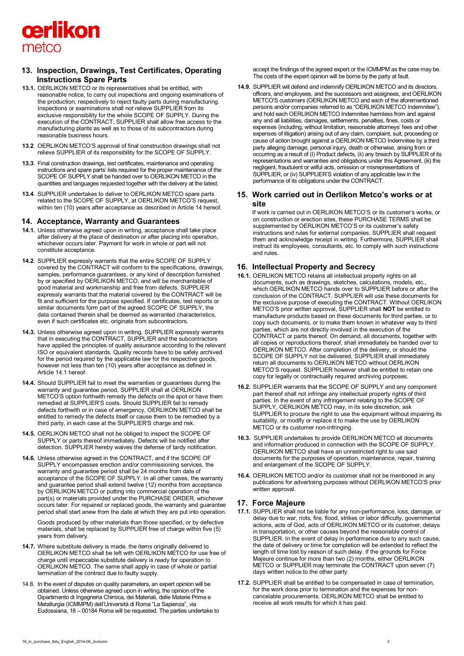

# **13. Inspection, Drawings, Test Certificates, Operating Instructions Spare Parts**

- **13.1.** OERLIKON METCO or its representatives shall be entitled, with reasonable notice, to carry out inspections and ongoing examinations of the production, respectively to reject faulty parts during manufacturing. Inspections or examinations shall not relieve SUPPLIER from its exclusive responsibility for the whole SCOPE OF SUPPLY. During the execution of the CONTRACT, SUPPLIER shall allow free access to the manufacturing plants as well as to those of its subcontractors during reasonable business hours.
- **13.2**. OERLIKON METCO'S approval of final construction drawings shall not relieve SUPPLIER of its responsibility for the SCOPE OF SUPPLY.
- **13.3**. Final construction drawings, test certificates, maintenance and operating instructions and spare parts' lists required for the proper maintenance of the SCOPE OF SUPPLY shall be handed over to OERLIKON METCO in the quantities and languages requested together with the delivery at the latest.
- **13.4**. SUPPLIER undertakes to deliver to OERLIKON METCO spare parts related to the SCOPE OF SUPPLY, at OERLIKON METCO'S request, within ten (10) years after acceptance as described in Article 14 hereof.

### **14. Acceptance, Warranty and Guarantees**

- **14.1.** Unless otherwise agreed upon in writing, acceptance shall take place after delivery at the place of destination or after placing into operation, whichever occurs later. Payment for work in whole or part will not constitute acceptance.
- **14.2**. SUPPLIER expressly warrants that the entire SCOPE OF SUPPLY covered by the CONTRACT will conform to the specifications, drawings, samples, performance guarantees, or any kind of description furnished by or specified by OERLIKON METCO, and will be merchantable of good material and workmanship and free from defects. SUPPLIER expressly warrants that the material covered by the CONTRACT will be fit and sufficient for the purpose specified. If certificates, test reports or similar documents form part of the agreed SCOPE OF SUPPLY, the data contained therein shall be deemed as warranted characteristics, even if such certificates etc. originate from subcontractors.
- **14.3.** Unless otherwise agreed upon in writing, SUPPLIER expressly warrants that in executing the CONTRACT, SUPPLIER and the subcontractors have applied the principles of quality assurance according to the relevant ISO or equivalent standards. Quality records have to be safely archived for the period required by the applicable law for the respective goods, however not less than ten (10) years after acceptance as defined in Article 14.1 hereof.
- **14.4.** Should SUPPLIER fail to meet the warranties or guarantees during the warranty and guarantee period, SUPPLIER shall at OERLIKON METCO'S option forthwith remedy the defects on the spot or have them remedied at SUPPLIER'S costs. Should SUPPLIER fail to remedy defects forthwith or in case of emergency, OERLIKON METCO shall be entitled to remedy the defects itself or cause them to be remedied by a third party, in each case at the SUPPLIER'S charge and risk.
- **14.5.** OERLIKON METCO shall not be obliged to inspect the SCOPE OF SUPPLY or parts thereof immediately. Defects will be notified after detection. SUPPLIER hereby waives the defense of tardy notification.
- **14.6.** Unless otherwise agreed in the CONTRACT, and if the SCOPE OF SUPPLY encompasses erection and/or commissioning services, the warranty and guarantee period shall be 24 months from date of acceptance of the SCOPE OF SUPPLY. In all other cases, the warranty and guarantee period shall extend twelve (12) months from acceptance by OERLIKON METCO or putting into commercial operation of the part(s) or materials provided under the PURCHASE ORDER, whichever occurs later. For repaired or replaced goods, the warranty and guarantee period shall start anew from the date at which they are put into operation.

Goods produced by other materials than those specified, or by defective materials, shall be replaced by SUPPLIER free of charge within five (5) years from delivery.

- **14.7.** Where substitute delivery is made, the items originally delivered to OERLIKON METCO shall be left with OERLIKON METCO for use free of charge until impeccable substitute delivery is ready for operation to OERLIKON METCO. The same shall apply in case of whole or partial termination of the contract due to faulty supply.
- 14.8. In the event of disputes on quality parameters, an expert opinion will be obtained. Unless otherwise agreed upon in writing, the opinion of the Dipartimento di Ingegneria Chimica, dei Materiali, delle Materie Prime e Metallurgia (ICMMPM) dell'Università di Roma "La Sapienza", via Eudossiana, 18 – 00184 Roma will be requested. The parties undertake to

accept the findings of the agreed expert or the ICMMPM as the case may be. The costs of the expert opinion will be borne by the party at fault.

**14.9.** SUPPLIER will defend and indemnify OERLIKON METCO and its directors, officers, and employees, and the successors and assignees, and OERLIKON METCO'S customers (OERLIKON METCO and each of the aforementioned persons and/or companies referred to as "OERLIKON METCO Indemnitee"), and hold each OERLIKON METCO Indemnitee harmless from and against any and all liabilities, damages, settlements, penalties, fines, costs or expenses (including, without limitation, reasonable attorneys' fees and other expenses of litigation) arising out of any claim, complaint, suit, proceeding or cause of action brought against a OERLIKON METCO Indemnitee by a third party alleging damage, personal injury, death or otherwise, arising from or occurring as a result of (I) Product defects, (ii) any breach by SUPPLIER of its representations and warranties and obligations under this Agreement, (iii) the negligent, fraudulent or wilful acts, omission or misrepresentations of SUPPLIER, or (iv) SUPPLIER'S violation of any applicable law in the performance of its obligations under the CONTRACT.

## **15. Work carried out in Oerlikon Metco's works or at site**

If work is carried out in OERLIKON METCO'S or its customer's works, or on construction or erection sites, these PURCHASE TERMS shall be supplemented by OERLIKON METCO'S or its customer's safety instructions and rules for external companies. SUPPLIER shall request them and acknowledge receipt in writing. Furthermore, SUPPLIER shall instruct its employees, consultants, etc. to comply with such instructions and rules.

## **16. Intellectual Property and Secrecy**

- **16.1.** OERLIKON METCO retains all intellectual property rights on all documents, such as drawings, sketches, calculations, models, etc., which OERLIKON METCO hands over to SUPPLIER before or after the conclusion of the CONTRACT. SUPPLIER will use these documents for the exclusive purpose of executing the CONTRACT. Without OERLIKON METCO'S prior written approval, SUPPLIER shall **NOT** be entitled to manufacture products based on these documents for third parties, or to copy such documents, or to make them known in whatever way to third parties, which are not directly involved in the execution of the CONTRACT or parts thereof. On demand, all documents, together with all copies or reproductions thereof, shall immediately be handed over to OERLIKON METCO. After completion of the delivery, or should the SCOPE OF SUPPLY not be delivered, SUPPLIER shall immediately return all documents to OERLIKON METCO without OERLIKON METCO'S request. SUPPLIER however shall be entitled to retain one copy for legally or contractually required archiving purposes.
- **16.2.** SUPPLIER warrants that the SCOPE OF SUPPLY and any component part thereof shall not infringe any intellectual property rights of third parties. In the event of any infringement relating to the SCOPE OF SUPPLY, OERLIKON METCO may, in its sole discretion, ask SUPPLIER to procure the right to use the equipment without impairing its suitability, or modify or replace it to make the use by OERLIKON METCO or its customer non-infringing.
- **16.3.** SUPPLIER undertakes to provide OERLIKON METCO all documents and information produced in connection with the SCOPE OF SUPPLY. OERLIKON METCO shall have an unrestricted right to use said documents for the purposes of operation, maintenance, repair, training and enlargement of the SCOPE OF SUPPLY.
- **16.4.** OERLIKON METCO and/or its customer shall not be mentioned in any publications for advertising purposes without OERLIKON METCO'S prior written approval.

### **17. Force Majeure**

- **17.1.** SUPPLIER shall not be liable for any non-performance, loss, damage, or delay due to war, riots, fire, flood, strikes or labor difficulty, governmental actions, acts of God, acts of OERLIKON METCO or its customer, delays in transportation, or other causes beyond the reasonable control of SUPPLIER. In the event of delay in performance due to any such cause, the date of delivery or time for completion will be extended to reflect the length of time lost by reason of such delay. If the grounds for Force Majeure continue for more than two (2) months, either OERLIKON METCO or SUPPLIER may terminate the CONTRACT upon seven (7) days written notice to the other party.
- **17.2.** SUPPLIER shall be entitled to be compensated in case of termination, for the work done prior to termination and the expenses for noncancelable procurements. OERLIKON METCO shall be entitled to receive all work results for which it has paid.